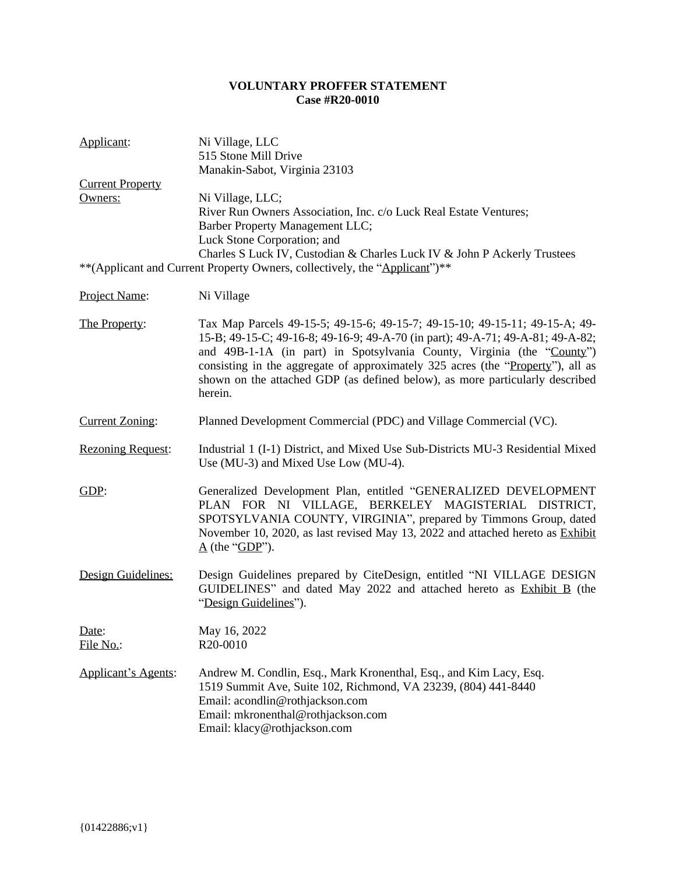## **VOLUNTARY PROFFER STATEMENT Case #R20-0010**

| Applicant:                 | Ni Village, LLC<br>515 Stone Mill Drive<br>Manakin-Sabot, Virginia 23103                                                                                                                                                                                                                                                                                                                                              |
|----------------------------|-----------------------------------------------------------------------------------------------------------------------------------------------------------------------------------------------------------------------------------------------------------------------------------------------------------------------------------------------------------------------------------------------------------------------|
| <b>Current Property</b>    |                                                                                                                                                                                                                                                                                                                                                                                                                       |
| Owners:                    | Ni Village, LLC;<br>River Run Owners Association, Inc. c/o Luck Real Estate Ventures;<br>Barber Property Management LLC;<br>Luck Stone Corporation; and<br>Charles S Luck IV, Custodian & Charles Luck IV & John P Ackerly Trustees                                                                                                                                                                                   |
|                            | ** (Applicant and Current Property Owners, collectively, the "Applicant")**                                                                                                                                                                                                                                                                                                                                           |
| Project Name:              | Ni Village                                                                                                                                                                                                                                                                                                                                                                                                            |
| The Property:              | Tax Map Parcels 49-15-5; 49-15-6; 49-15-7; 49-15-10; 49-15-11; 49-15-A; 49-<br>15-B; 49-15-C; 49-16-8; 49-16-9; 49-A-70 (in part); 49-A-71; 49-A-81; 49-A-82;<br>and 49B-1-1A (in part) in Spotsylvania County, Virginia (the "County")<br>consisting in the aggregate of approximately 325 acres (the "Property"), all as<br>shown on the attached GDP (as defined below), as more particularly described<br>herein. |
| <b>Current Zoning:</b>     | Planned Development Commercial (PDC) and Village Commercial (VC).                                                                                                                                                                                                                                                                                                                                                     |
| <b>Rezoning Request:</b>   | Industrial 1 (I-1) District, and Mixed Use Sub-Districts MU-3 Residential Mixed<br>Use (MU-3) and Mixed Use Low (MU-4).                                                                                                                                                                                                                                                                                               |
| GDP:                       | Generalized Development Plan, entitled "GENERALIZED DEVELOPMENT<br>PLAN FOR NI VILLAGE, BERKELEY MAGISTERIAL DISTRICT,<br>SPOTSYLVANIA COUNTY, VIRGINIA", prepared by Timmons Group, dated<br>November 10, 2020, as last revised May 13, 2022 and attached hereto as Exhibit<br>$\underline{A}$ (the "GDP").                                                                                                          |
| Design Guidelines:         | Design Guidelines prepared by CiteDesign, entitled "NI VILLAGE DESIGN<br>GUIDELINES" and dated May 2022 and attached hereto as Exhibit B (the<br>"Design Guidelines").                                                                                                                                                                                                                                                |
| Date:<br><u>File No.:</u>  | May 16, 2022<br>R <sub>20</sub> -0010                                                                                                                                                                                                                                                                                                                                                                                 |
| <b>Applicant's Agents:</b> | Andrew M. Condlin, Esq., Mark Kronenthal, Esq., and Kim Lacy, Esq.<br>1519 Summit Ave, Suite 102, Richmond, VA 23239, (804) 441-8440<br>Email: acondlin@rothjackson.com<br>Email: mkronenthal@rothjackson.com<br>Email: klacy@rothjackson.com                                                                                                                                                                         |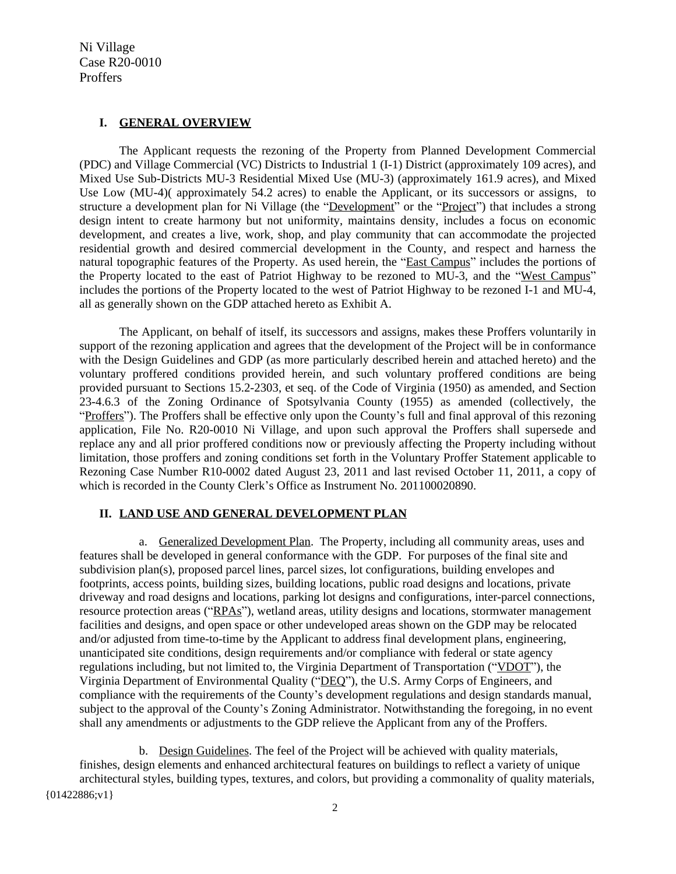## **I. GENERAL OVERVIEW**

The Applicant requests the rezoning of the Property from Planned Development Commercial (PDC) and Village Commercial (VC) Districts to Industrial 1 (I-1) District (approximately 109 acres), and Mixed Use Sub-Districts MU-3 Residential Mixed Use (MU-3) (approximately 161.9 acres), and Mixed Use Low (MU-4)( approximately 54.2 acres) to enable the Applicant, or its successors or assigns, to structure a development plan for Ni Village (the "Development" or the "Project") that includes a strong design intent to create harmony but not uniformity, maintains density, includes a focus on economic development, and creates a live, work, shop, and play community that can accommodate the projected residential growth and desired commercial development in the County, and respect and harness the natural topographic features of the Property. As used herein, the "East Campus" includes the portions of the Property located to the east of Patriot Highway to be rezoned to MU-3, and the "West Campus" includes the portions of the Property located to the west of Patriot Highway to be rezoned I-1 and MU-4, all as generally shown on the GDP attached hereto as Exhibit A.

The Applicant, on behalf of itself, its successors and assigns, makes these Proffers voluntarily in support of the rezoning application and agrees that the development of the Project will be in conformance with the Design Guidelines and GDP (as more particularly described herein and attached hereto) and the voluntary proffered conditions provided herein, and such voluntary proffered conditions are being provided pursuant to Sections 15.2-2303, et seq. of the Code of Virginia (1950) as amended, and Section 23-4.6.3 of the Zoning Ordinance of Spotsylvania County (1955) as amended (collectively, the "Proffers"). The Proffers shall be effective only upon the County's full and final approval of this rezoning application, File No. R20-0010 Ni Village, and upon such approval the Proffers shall supersede and replace any and all prior proffered conditions now or previously affecting the Property including without limitation, those proffers and zoning conditions set forth in the Voluntary Proffer Statement applicable to Rezoning Case Number R10-0002 dated August 23, 2011 and last revised October 11, 2011, a copy of which is recorded in the County Clerk's Office as Instrument No. 201100020890.

## **II. LAND USE AND GENERAL DEVELOPMENT PLAN**

a. Generalized Development Plan. The Property, including all community areas, uses and features shall be developed in general conformance with the GDP. For purposes of the final site and subdivision plan(s), proposed parcel lines, parcel sizes, lot configurations, building envelopes and footprints, access points, building sizes, building locations, public road designs and locations, private driveway and road designs and locations, parking lot designs and configurations, inter-parcel connections, resource protection areas ("RPAs"), wetland areas, utility designs and locations, stormwater management facilities and designs, and open space or other undeveloped areas shown on the GDP may be relocated and/or adjusted from time-to-time by the Applicant to address final development plans, engineering, unanticipated site conditions, design requirements and/or compliance with federal or state agency regulations including, but not limited to, the Virginia Department of Transportation ("VDOT"), the Virginia Department of Environmental Quality ("DEQ"), the U.S. Army Corps of Engineers, and compliance with the requirements of the County's development regulations and design standards manual, subject to the approval of the County's Zoning Administrator. Notwithstanding the foregoing, in no event shall any amendments or adjustments to the GDP relieve the Applicant from any of the Proffers.

 ${01422886; v1}$ b. Design Guidelines. The feel of the Project will be achieved with quality materials, finishes, design elements and enhanced architectural features on buildings to reflect a variety of unique architectural styles, building types, textures, and colors, but providing a commonality of quality materials,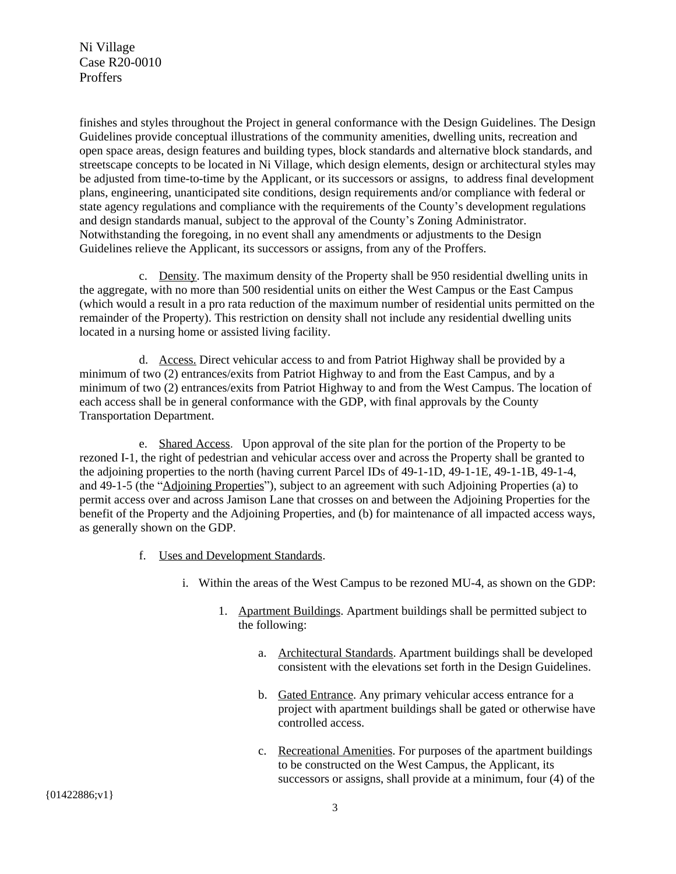finishes and styles throughout the Project in general conformance with the Design Guidelines. The Design Guidelines provide conceptual illustrations of the community amenities, dwelling units, recreation and open space areas, design features and building types, block standards and alternative block standards, and streetscape concepts to be located in Ni Village, which design elements, design or architectural styles may be adjusted from time-to-time by the Applicant, or its successors or assigns, to address final development plans, engineering, unanticipated site conditions, design requirements and/or compliance with federal or state agency regulations and compliance with the requirements of the County's development regulations and design standards manual, subject to the approval of the County's Zoning Administrator. Notwithstanding the foregoing, in no event shall any amendments or adjustments to the Design Guidelines relieve the Applicant, its successors or assigns, from any of the Proffers.

c. Density. The maximum density of the Property shall be 950 residential dwelling units in the aggregate, with no more than 500 residential units on either the West Campus or the East Campus (which would a result in a pro rata reduction of the maximum number of residential units permitted on the remainder of the Property). This restriction on density shall not include any residential dwelling units located in a nursing home or assisted living facility.

d. Access. Direct vehicular access to and from Patriot Highway shall be provided by a minimum of two (2) entrances/exits from Patriot Highway to and from the East Campus, and by a minimum of two (2) entrances/exits from Patriot Highway to and from the West Campus. The location of each access shall be in general conformance with the GDP, with final approvals by the County Transportation Department.

e. Shared Access. Upon approval of the site plan for the portion of the Property to be rezoned I-1, the right of pedestrian and vehicular access over and across the Property shall be granted to the adjoining properties to the north (having current Parcel IDs of 49-1-1D, 49-1-1E, 49-1-1B, 49-1-4, and 49-1-5 (the "Adjoining Properties"), subject to an agreement with such Adjoining Properties (a) to permit access over and across Jamison Lane that crosses on and between the Adjoining Properties for the benefit of the Property and the Adjoining Properties, and (b) for maintenance of all impacted access ways, as generally shown on the GDP.

- f. Uses and Development Standards.
	- i. Within the areas of the West Campus to be rezoned MU-4, as shown on the GDP:
		- 1. Apartment Buildings. Apartment buildings shall be permitted subject to the following:
			- a. Architectural Standards. Apartment buildings shall be developed consistent with the elevations set forth in the Design Guidelines.
			- b. Gated Entrance. Any primary vehicular access entrance for a project with apartment buildings shall be gated or otherwise have controlled access.
			- c. Recreational Amenities. For purposes of the apartment buildings to be constructed on the West Campus, the Applicant, its successors or assigns, shall provide at a minimum, four (4) of the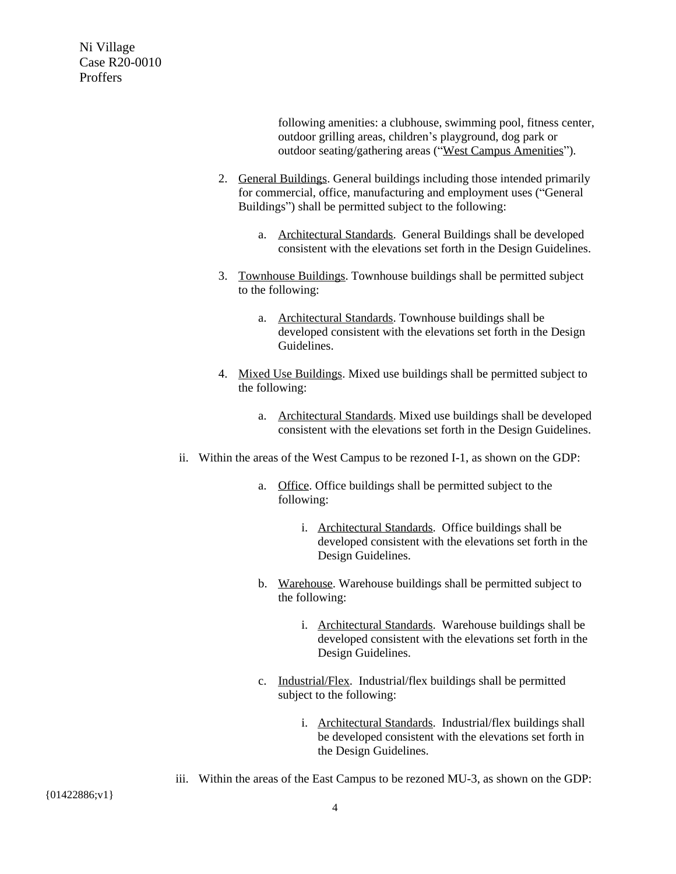> following amenities: a clubhouse, swimming pool, fitness center, outdoor grilling areas, children's playground, dog park or outdoor seating/gathering areas ("West Campus Amenities").

- 2. General Buildings. General buildings including those intended primarily for commercial, office, manufacturing and employment uses ("General Buildings") shall be permitted subject to the following:
	- a. Architectural Standards. General Buildings shall be developed consistent with the elevations set forth in the Design Guidelines.
- 3. Townhouse Buildings. Townhouse buildings shall be permitted subject to the following:
	- a. Architectural Standards. Townhouse buildings shall be developed consistent with the elevations set forth in the Design Guidelines.
- 4. Mixed Use Buildings. Mixed use buildings shall be permitted subject to the following:
	- a. Architectural Standards. Mixed use buildings shall be developed consistent with the elevations set forth in the Design Guidelines.
- ii. Within the areas of the West Campus to be rezoned I-1, as shown on the GDP:
	- a. Office. Office buildings shall be permitted subject to the following:
		- i. Architectural Standards. Office buildings shall be developed consistent with the elevations set forth in the Design Guidelines.
	- b. Warehouse. Warehouse buildings shall be permitted subject to the following:
		- i. Architectural Standards. Warehouse buildings shall be developed consistent with the elevations set forth in the Design Guidelines.
	- c. Industrial/Flex. Industrial/flex buildings shall be permitted subject to the following:
		- i. Architectural Standards. Industrial/flex buildings shall be developed consistent with the elevations set forth in the Design Guidelines.
- iii. Within the areas of the East Campus to be rezoned MU-3, as shown on the GDP: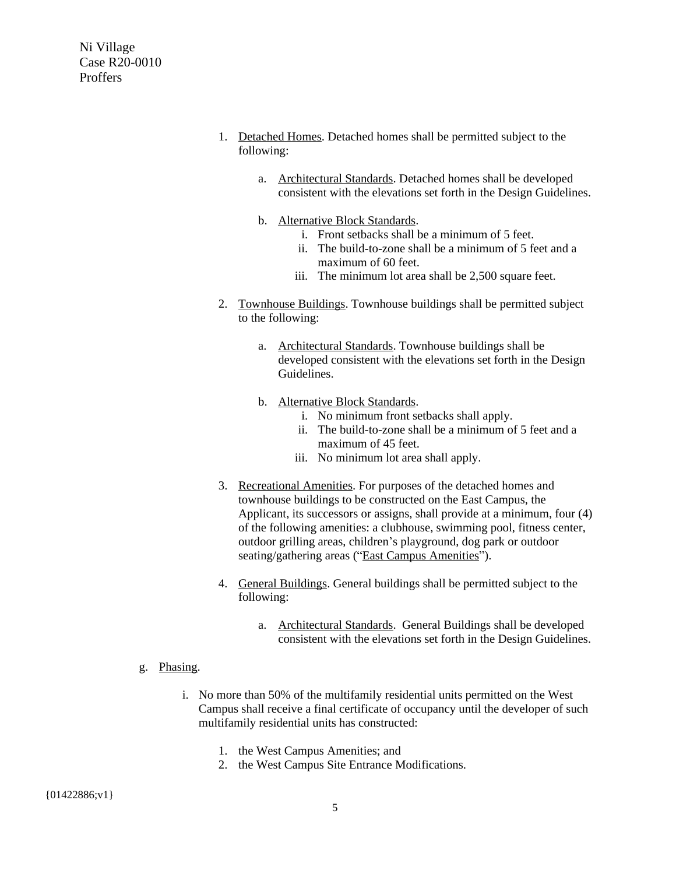- Ni Village Case R20-0010 Proffers
- 1. Detached Homes. Detached homes shall be permitted subject to the following:
	- a. Architectural Standards. Detached homes shall be developed consistent with the elevations set forth in the Design Guidelines.
	- b. Alternative Block Standards.
		- i. Front setbacks shall be a minimum of 5 feet.
		- ii. The build-to-zone shall be a minimum of 5 feet and a maximum of 60 feet.
		- iii. The minimum lot area shall be 2,500 square feet.
- 2. Townhouse Buildings. Townhouse buildings shall be permitted subject to the following:
	- a. Architectural Standards. Townhouse buildings shall be developed consistent with the elevations set forth in the Design Guidelines.
	- b. Alternative Block Standards.
		- i. No minimum front setbacks shall apply.
		- ii. The build-to-zone shall be a minimum of 5 feet and a maximum of 45 feet.
		- iii. No minimum lot area shall apply.
- 3. Recreational Amenities. For purposes of the detached homes and townhouse buildings to be constructed on the East Campus, the Applicant, its successors or assigns, shall provide at a minimum, four (4) of the following amenities: a clubhouse, swimming pool, fitness center, outdoor grilling areas, children's playground, dog park or outdoor seating/gathering areas ("East Campus Amenities").
- 4. General Buildings. General buildings shall be permitted subject to the following:
	- a. Architectural Standards. General Buildings shall be developed consistent with the elevations set forth in the Design Guidelines.
- g. Phasing.
	- i. No more than 50% of the multifamily residential units permitted on the West Campus shall receive a final certificate of occupancy until the developer of such multifamily residential units has constructed:
		- 1. the West Campus Amenities; and
		- 2. the West Campus Site Entrance Modifications.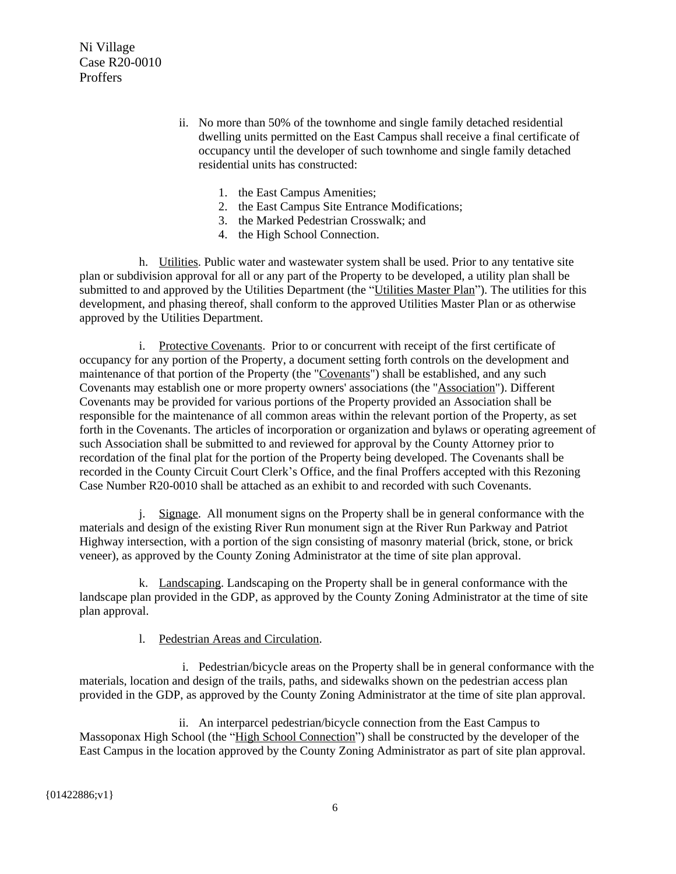- ii. No more than 50% of the townhome and single family detached residential dwelling units permitted on the East Campus shall receive a final certificate of occupancy until the developer of such townhome and single family detached residential units has constructed:
	- 1. the East Campus Amenities;
	- 2. the East Campus Site Entrance Modifications;
	- 3. the Marked Pedestrian Crosswalk; and
	- 4. the High School Connection.

h. Utilities. Public water and wastewater system shall be used. Prior to any tentative site plan or subdivision approval for all or any part of the Property to be developed, a utility plan shall be submitted to and approved by the Utilities Department (the "Utilities Master Plan"). The utilities for this development, and phasing thereof, shall conform to the approved Utilities Master Plan or as otherwise approved by the Utilities Department.

i. Protective Covenants. Prior to or concurrent with receipt of the first certificate of occupancy for any portion of the Property, a document setting forth controls on the development and maintenance of that portion of the Property (the "Covenants") shall be established, and any such Covenants may establish one or more property owners' associations (the "Association"). Different Covenants may be provided for various portions of the Property provided an Association shall be responsible for the maintenance of all common areas within the relevant portion of the Property, as set forth in the Covenants. The articles of incorporation or organization and bylaws or operating agreement of such Association shall be submitted to and reviewed for approval by the County Attorney prior to recordation of the final plat for the portion of the Property being developed. The Covenants shall be recorded in the County Circuit Court Clerk's Office, and the final Proffers accepted with this Rezoning Case Number R20-0010 shall be attached as an exhibit to and recorded with such Covenants.

j. Signage. All monument signs on the Property shall be in general conformance with the materials and design of the existing River Run monument sign at the River Run Parkway and Patriot Highway intersection, with a portion of the sign consisting of masonry material (brick, stone, or brick veneer), as approved by the County Zoning Administrator at the time of site plan approval.

k. Landscaping. Landscaping on the Property shall be in general conformance with the landscape plan provided in the GDP, as approved by the County Zoning Administrator at the time of site plan approval.

## l. Pedestrian Areas and Circulation.

i. Pedestrian/bicycle areas on the Property shall be in general conformance with the materials, location and design of the trails, paths, and sidewalks shown on the pedestrian access plan provided in the GDP, as approved by the County Zoning Administrator at the time of site plan approval.

ii. An interparcel pedestrian/bicycle connection from the East Campus to Massoponax High School (the "High School Connection") shall be constructed by the developer of the East Campus in the location approved by the County Zoning Administrator as part of site plan approval.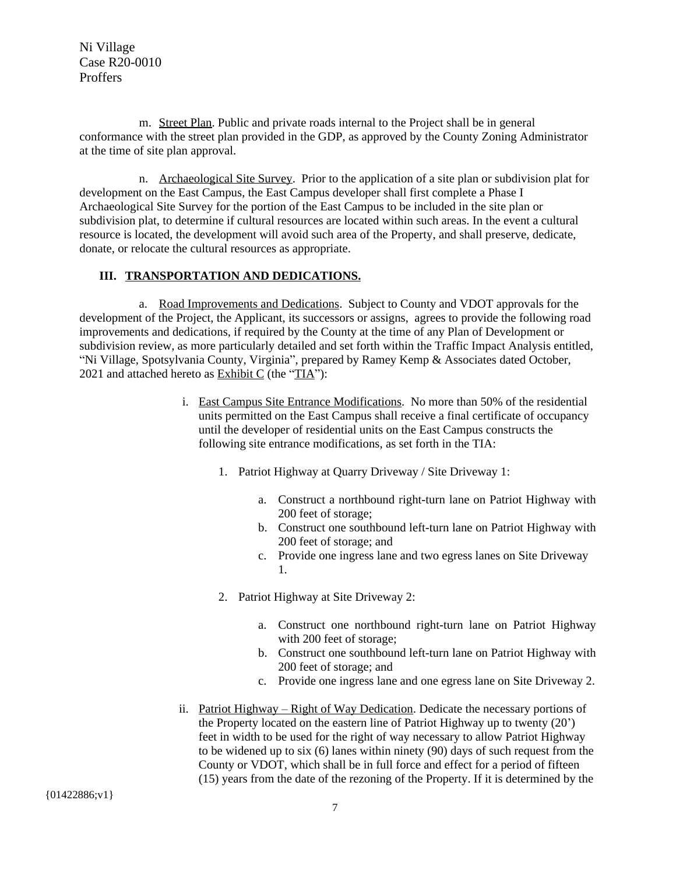m. Street Plan. Public and private roads internal to the Project shall be in general conformance with the street plan provided in the GDP, as approved by the County Zoning Administrator at the time of site plan approval.

n. Archaeological Site Survey. Prior to the application of a site plan or subdivision plat for development on the East Campus, the East Campus developer shall first complete a Phase I Archaeological Site Survey for the portion of the East Campus to be included in the site plan or subdivision plat, to determine if cultural resources are located within such areas. In the event a cultural resource is located, the development will avoid such area of the Property, and shall preserve, dedicate, donate, or relocate the cultural resources as appropriate.

## **III. TRANSPORTATION AND DEDICATIONS.**

a. Road Improvements and Dedications. Subject to County and VDOT approvals for the development of the Project, the Applicant, its successors or assigns, agrees to provide the following road improvements and dedications, if required by the County at the time of any Plan of Development or subdivision review, as more particularly detailed and set forth within the Traffic Impact Analysis entitled, "Ni Village, Spotsylvania County, Virginia", prepared by Ramey Kemp & Associates dated October, 2021 and attached hereto as  $Exhibit C$  (the "TIA"):

- i. East Campus Site Entrance Modifications. No more than 50% of the residential units permitted on the East Campus shall receive a final certificate of occupancy until the developer of residential units on the East Campus constructs the following site entrance modifications, as set forth in the TIA:
	- 1. Patriot Highway at Quarry Driveway / Site Driveway 1:
		- a. Construct a northbound right-turn lane on Patriot Highway with 200 feet of storage;
		- b. Construct one southbound left-turn lane on Patriot Highway with 200 feet of storage; and
		- c. Provide one ingress lane and two egress lanes on Site Driveway 1.
	- 2. Patriot Highway at Site Driveway 2:
		- a. Construct one northbound right-turn lane on Patriot Highway with 200 feet of storage;
		- b. Construct one southbound left-turn lane on Patriot Highway with 200 feet of storage; and
		- c. Provide one ingress lane and one egress lane on Site Driveway 2.
- ii. Patriot Highway Right of Way Dedication. Dedicate the necessary portions of the Property located on the eastern line of Patriot Highway up to twenty (20') feet in width to be used for the right of way necessary to allow Patriot Highway to be widened up to six (6) lanes within ninety (90) days of such request from the County or VDOT, which shall be in full force and effect for a period of fifteen (15) years from the date of the rezoning of the Property. If it is determined by the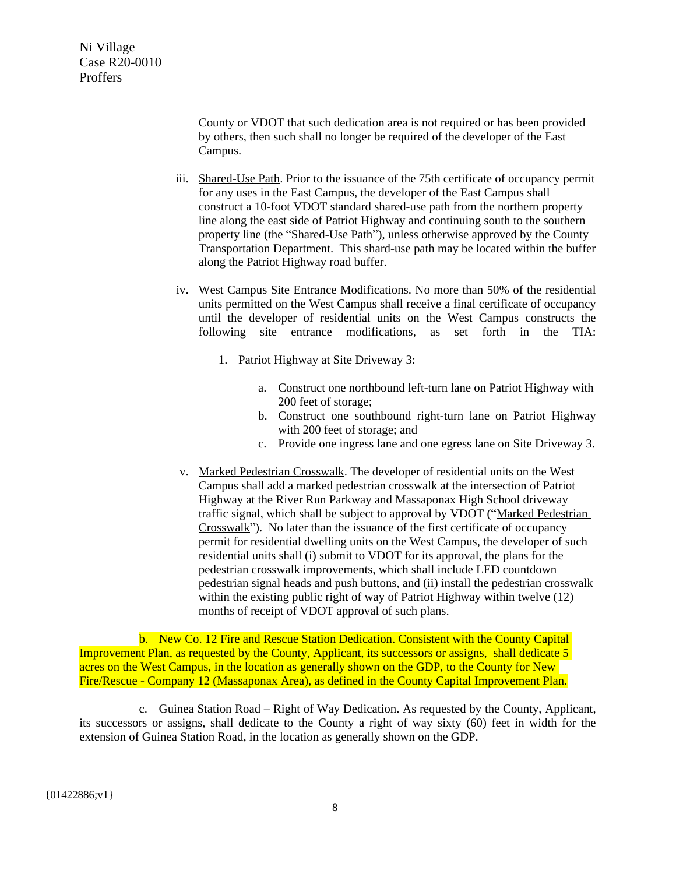County or VDOT that such dedication area is not required or has been provided by others, then such shall no longer be required of the developer of the East Campus.

- iii. Shared-Use Path. Prior to the issuance of the 75th certificate of occupancy permit for any uses in the East Campus, the developer of the East Campus shall construct a 10-foot VDOT standard shared-use path from the northern property line along the east side of Patriot Highway and continuing south to the southern property line (the "Shared-Use Path"), unless otherwise approved by the County Transportation Department. This shard-use path may be located within the buffer along the Patriot Highway road buffer.
- iv. West Campus Site Entrance Modifications. No more than 50% of the residential units permitted on the West Campus shall receive a final certificate of occupancy until the developer of residential units on the West Campus constructs the following site entrance modifications, as set forth in the TIA:
	- 1. Patriot Highway at Site Driveway 3:
		- a. Construct one northbound left-turn lane on Patriot Highway with 200 feet of storage;
		- b. Construct one southbound right-turn lane on Patriot Highway with 200 feet of storage; and
		- c. Provide one ingress lane and one egress lane on Site Driveway 3.
- v. Marked Pedestrian Crosswalk. The developer of residential units on the West Campus shall add a marked pedestrian crosswalk at the intersection of Patriot Highway at the River Run Parkway and Massaponax High School driveway traffic signal, which shall be subject to approval by VDOT ("Marked Pedestrian Crosswalk"). No later than the issuance of the first certificate of occupancy permit for residential dwelling units on the West Campus, the developer of such residential units shall (i) submit to VDOT for its approval, the plans for the pedestrian crosswalk improvements, which shall include LED countdown pedestrian signal heads and push buttons, and (ii) install the pedestrian crosswalk within the existing public right of way of Patriot Highway within twelve (12) months of receipt of VDOT approval of such plans.

b. New Co. 12 Fire and Rescue Station Dedication. Consistent with the County Capital Improvement Plan, as requested by the County, Applicant, its successors or assigns, shall dedicate 5 acres on the West Campus, in the location as generally shown on the GDP, to the County for New Fire/Rescue - Company 12 (Massaponax Area), as defined in the County Capital Improvement Plan.

c. Guinea Station Road – Right of Way Dedication. As requested by the County, Applicant, its successors or assigns, shall dedicate to the County a right of way sixty (60) feet in width for the extension of Guinea Station Road, in the location as generally shown on the GDP.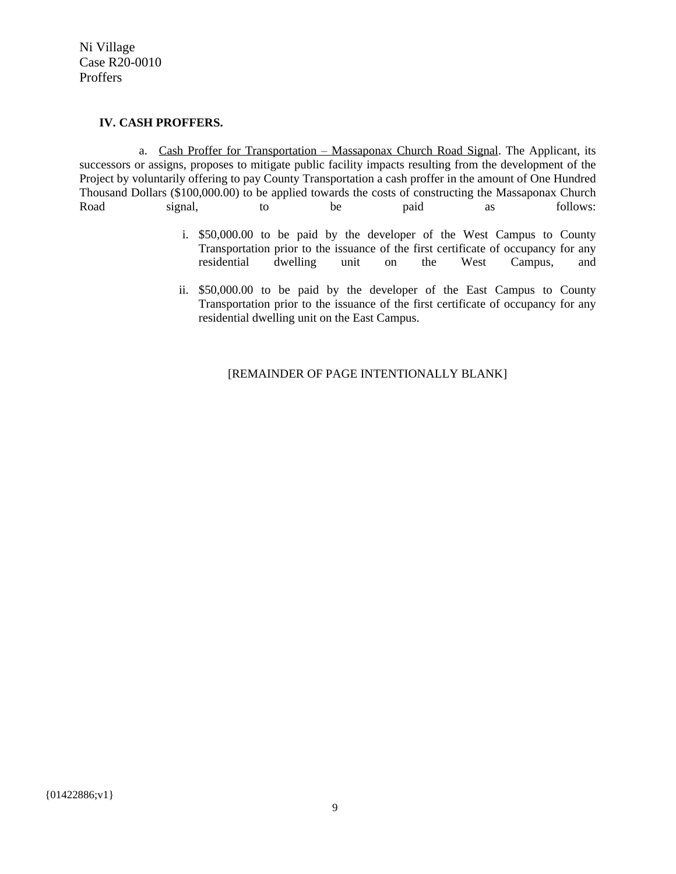### **IV. CASH PROFFERS.**

a. Cash Proffer for Transportation – Massaponax Church Road Signal. The Applicant, its successors or assigns, proposes to mitigate public facility impacts resulting from the development of the Project by voluntarily offering to pay County Transportation a cash proffer in the amount of One Hundred Thousand Dollars (\$100,000.00) to be applied towards the costs of constructing the Massaponax Church Road signal, to be paid as follows:

- i. \$50,000.00 to be paid by the developer of the West Campus to County Transportation prior to the issuance of the first certificate of occupancy for any residential dwelling unit on the West Campus, and
- ii. \$50,000.00 to be paid by the developer of the East Campus to County Transportation prior to the issuance of the first certificate of occupancy for any residential dwelling unit on the East Campus.

## [REMAINDER OF PAGE INTENTIONALLY BLANK]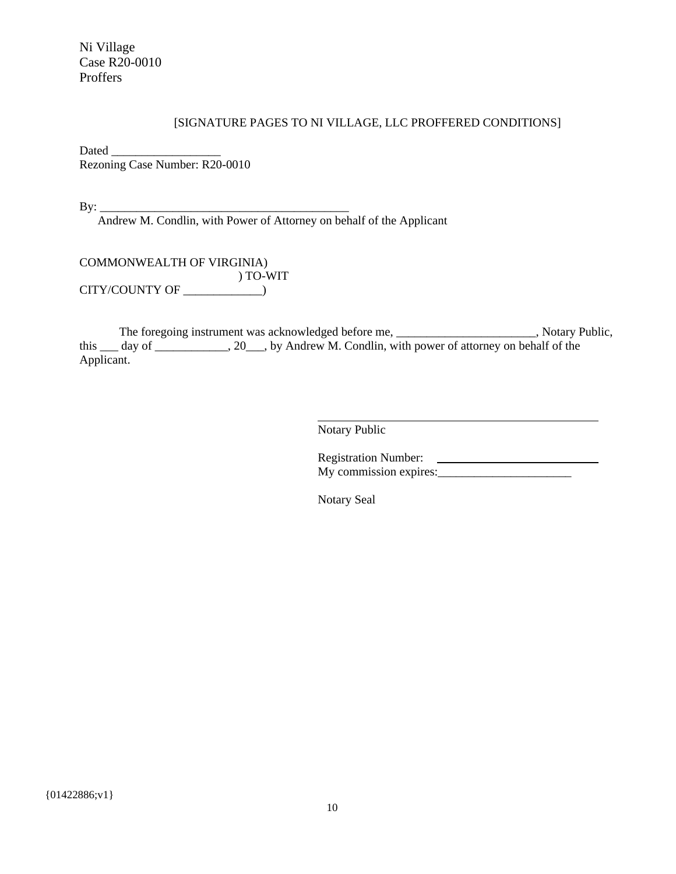### [SIGNATURE PAGES TO NI VILLAGE, LLC PROFFERED CONDITIONS]

Dated  $\Box$ Rezoning Case Number: R20-0010

 $\text{By:}\_\_$ 

Andrew M. Condlin, with Power of Attorney on behalf of the Applicant

COMMONWEALTH OF VIRGINIA) ) TO-WIT CITY/COUNTY OF \_\_\_\_\_\_\_\_\_\_\_\_\_)

The foregoing instrument was acknowledged before me, \_\_\_\_\_\_\_\_\_\_\_\_\_\_\_\_\_\_\_\_\_\_, Notary Public, this \_\_\_ day of \_\_\_\_\_\_\_\_\_\_, 20\_\_\_, by Andrew M. Condlin, with power of attorney on behalf of the Applicant.

> $\overline{a}$ Notary Public

Registration Number: My commission expires: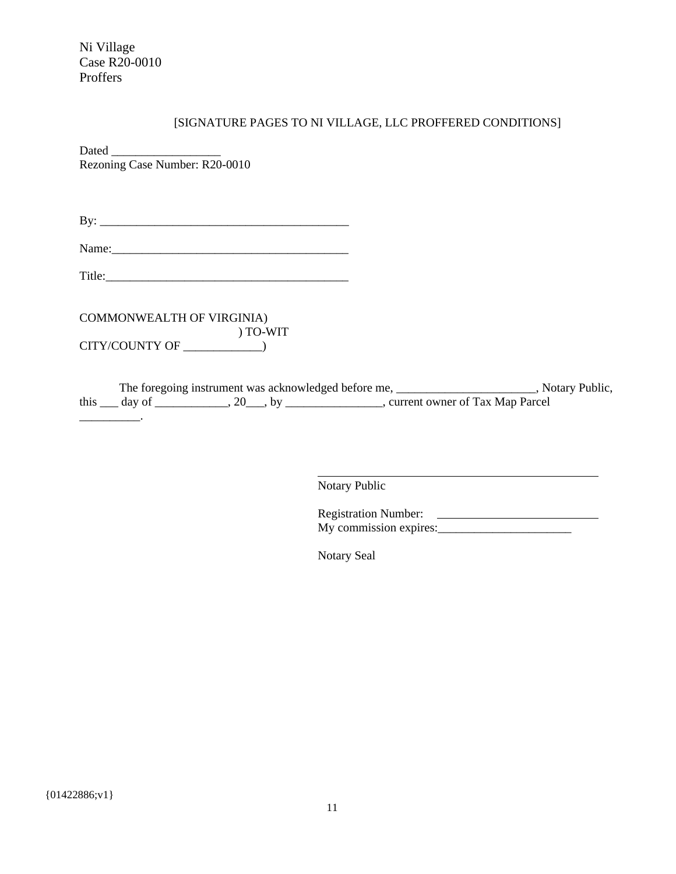| [SIGNATURE PAGES TO NI VILLAGE, LLC PROFFERED CONDITIONS]                                                                                                                                            |
|------------------------------------------------------------------------------------------------------------------------------------------------------------------------------------------------------|
| Dated<br>Rezoning Case Number: R20-0010                                                                                                                                                              |
|                                                                                                                                                                                                      |
|                                                                                                                                                                                                      |
|                                                                                                                                                                                                      |
| COMMONWEALTH OF VIRGINIA)                                                                                                                                                                            |
|                                                                                                                                                                                                      |
| The foregoing instrument was acknowledged before me, ________________________, Notary Public,<br>this _____ day of _______________, 20____, by ____________________, current owner of Tax Map Parcel |
|                                                                                                                                                                                                      |

Notary Public

 $\overline{a}$ 

Registration Number: My commission expires:\_\_\_\_\_\_\_\_\_\_\_\_\_\_\_\_\_\_\_\_\_\_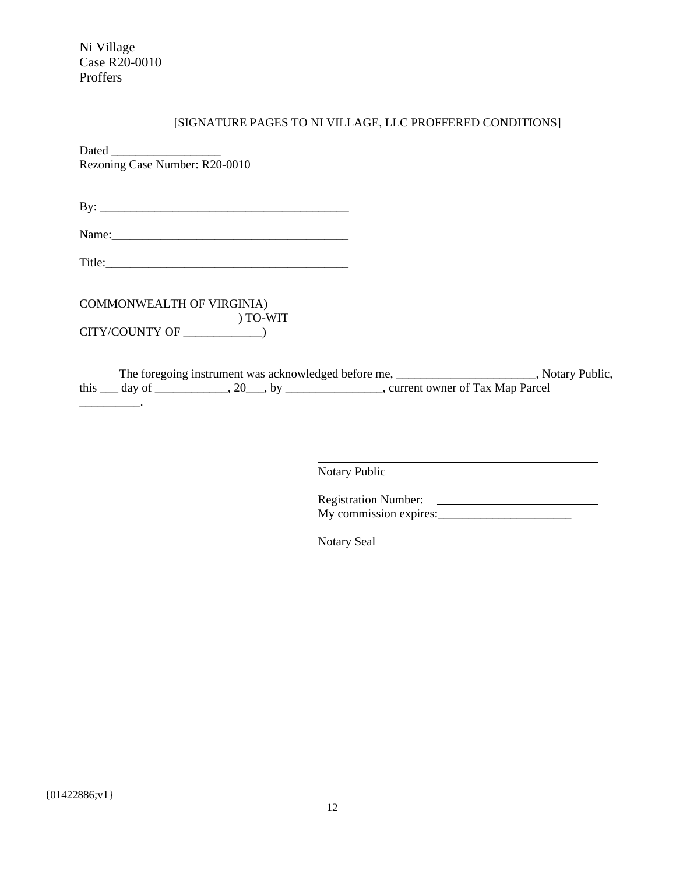| [SIGNATURE PAGES TO NI VILLAGE, LLC PROFFERED CONDITIONS]                                                                                                                                             |
|-------------------------------------------------------------------------------------------------------------------------------------------------------------------------------------------------------|
| Rezoning Case Number: R20-0010                                                                                                                                                                        |
|                                                                                                                                                                                                       |
|                                                                                                                                                                                                       |
|                                                                                                                                                                                                       |
| COMMONWEALTH OF VIRGINIA)<br>) TO-WIT                                                                                                                                                                 |
| The foregoing instrument was acknowledged before me, _________________________, Notary Public,<br>this _____ day of _______________, 20____, by ____________________, current owner of Tax Map Parcel |

Notary Public

 $\overline{a}$ 

Registration Number: My commission expires:\_\_\_\_\_\_\_\_\_\_\_\_\_\_\_\_\_\_\_\_\_\_